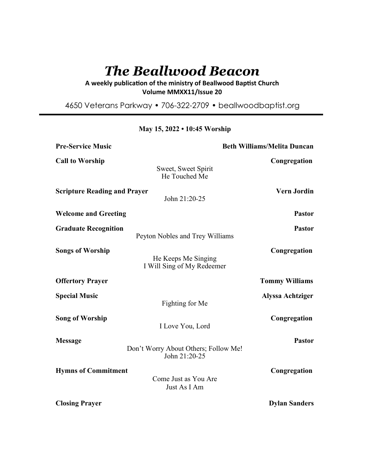# *The Beallwood Beacon*

## A weekly publication of the ministry of Beallwood Baptist Church **Volume MMXX11/Issue 20**

4650 Veterans Parkway • 706-322-2709 • beallwoodbaptist.org

| <b>Pre-Service Music</b>            |                                                       | <b>Beth Williams/Melita Duncan</b> |  |
|-------------------------------------|-------------------------------------------------------|------------------------------------|--|
| <b>Call to Worship</b>              | Sweet, Sweet Spirit<br>He Touched Me                  | Congregation                       |  |
| <b>Scripture Reading and Prayer</b> | John 21:20-25                                         | <b>Vern Jordin</b>                 |  |
| <b>Welcome and Greeting</b>         |                                                       | <b>Pastor</b>                      |  |
| <b>Graduate Recognition</b>         | Peyton Nobles and Trey Williams                       | <b>Pastor</b>                      |  |
| <b>Songs of Worship</b>             | He Keeps Me Singing<br>I Will Sing of My Redeemer     | Congregation                       |  |
| <b>Offertory Prayer</b>             |                                                       | <b>Tommy Williams</b>              |  |
| <b>Special Music</b>                | Fighting for Me                                       | <b>Alyssa Achtziger</b>            |  |
| <b>Song of Worship</b>              | I Love You, Lord                                      | Congregation                       |  |
| <b>Message</b>                      | Don't Worry About Others; Follow Me!<br>John 21:20-25 | <b>Pastor</b>                      |  |
| <b>Hymns of Commitment</b>          | Come Just as You Are<br>Just As I Am                  | Congregation                       |  |
| <b>Closing Prayer</b>               |                                                       | <b>Dylan Sanders</b>               |  |

## **May 15, 2022 • 10:45 Worship**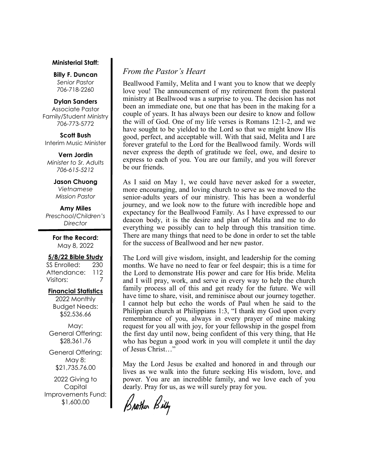#### **Ministerial Staff:**

**Billy F. Duncan** *Senior Pastor*  706-718-2260

#### **Dylan Sanders**

Associate Pastor Family/Student Ministry 706-773-5772

**Scott Bush**  Interim Music Minister

**Vern Jordin** *Minister to Sr. Adults 706-615-5212* 

#### **Jason Chuong**  *Vietnamese*

*Mission Pastor* 

**Amy Miles** *Preschool/Children's Director* 

> **For the Record:**  May 8, 2022

#### **5/8/22 Bible Study**

SS Enrolled: 230 Attendance: 112 Visitors: 7

#### **Financial Statistics**

2022 Monthly Budget Needs: \$52,536.66

May: General Offering: \$28,361.76

General Offering: May 8: \$21,735.76.00

2022 Giving to Capital Improvements Fund: \$1,600.00

## *From the Pastor's Heart*

Beallwood Family, Melita and I want you to know that we deeply love you! The announcement of my retirement from the pastoral ministry at Beallwood was a surprise to you. The decision has not been an immediate one, but one that has been in the making for a couple of years. It has always been our desire to know and follow the will of God. One of my life verses is Romans 12:1-2, and we have sought to be yielded to the Lord so that we might know His good, perfect, and acceptable will. With that said, Melita and I are forever grateful to the Lord for the Beallwood family. Words will never express the depth of gratitude we feel, owe, and desire to express to each of you. You are our family, and you will forever be our friends.

As I said on May 1, we could have never asked for a sweeter, more encouraging, and loving church to serve as we moved to the senior-adults years of our ministry. This has been a wonderful journey, and we look now to the future with incredible hope and expectancy for the Beallwood Family. As I have expressed to our deacon body, it is the desire and plan of Melita and me to do everything we possibly can to help through this transition time. There are many things that need to be done in order to set the table for the success of Beallwood and her new pastor.

The Lord will give wisdom, insight, and leadership for the coming months. We have no need to fear or feel despair; this is a time for the Lord to demonstrate His power and care for His bride. Melita and I will pray, work, and serve in every way to help the church family process all of this and get ready for the future. We will have time to share, visit, and reminisce about our journey together. I cannot help but echo the words of Paul when he said to the Philippian church at Philippians 1:3, "I thank my God upon every remembrance of you, always in every prayer of mine making request for you all with joy, for your fellowship in the gospel from the first day until now, being confident of this very thing, that He who has begun a good work in you will complete it until the day of Jesus Christ…"

May the Lord Jesus be exalted and honored in and through our lives as we walk into the future seeking His wisdom, love, and power. You are an incredible family, and we love each of you dearly. Pray for us, as we will surely pray for you.

Brother Billy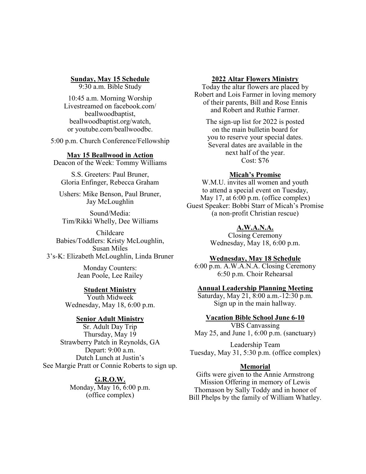**Sunday, May 15 Schedule**

9:30 a.m. Bible Study

10:45 a.m. Morning Worship Livestreamed on facebook.com/ beallwoodbaptist, beallwoodbaptist.org/watch, or youtube.com/beallwoodbc.

5:00 p.m. Church Conference/Fellowship

#### **May 15 Beallwood in Action**

Deacon of the Week: Tommy Williams

S.S. Greeters: Paul Bruner, Gloria Enfinger, Rebecca Graham

Ushers: Mike Benson, Paul Bruner, Jay McLoughlin

Sound/Media: Tim/Rikki Whelly, Dee Williams

Childcare Babies/Toddlers: Kristy McLoughlin, Susan Miles 3's-K: Elizabeth McLoughlin, Linda Bruner

> Monday Counters: Jean Poole, Lee Railey

# **Student Ministry**

Youth Midweek Wednesday, May 18, 6:00 p.m.

### **Senior Adult Ministry**

Sr. Adult Day Trip Thursday, May 19 Strawberry Patch in Reynolds, GA Depart: 9:00 a.m. Dutch Lunch at Justin's See Margie Pratt or Connie Roberts to sign up.

> **G.R.O.W.**  Monday, May 16, 6:00 p.m. (office complex)

#### **2022 Altar Flowers Ministry**

Today the altar flowers are placed by Robert and Lois Farmer in loving memory of their parents, Bill and Rose Ennis and Robert and Ruthie Farmer.

The sign-up list for 2022 is posted on the main bulletin board for you to reserve your special dates. Several dates are available in the next half of the year. Cost: \$76

#### **Micah's Promise**

W.M.U. invites all women and youth to attend a special event on Tuesday, May 17, at 6:00 p.m. (office complex) Guest Speaker: Bobbi Starr of Micah's Promise (a non-profit Christian rescue)

## **A.W.A.N.A.**

Closing Ceremony Wednesday, May 18, 6:00 p.m.

## **Wednesday, May 18 Schedule**

6:00 p.m. A.W.A.N.A. Closing Ceremony 6:50 p.m. Choir Rehearsal

#### **Annual Leadership Planning Meeting**

Saturday, May 21, 8:00 a.m.-12:30 p.m. Sign up in the main hallway.

# **Vacation Bible School June 6-10**

VBS Canvassing May 25, and June 1, 6:00 p.m. (sanctuary)

Leadership Team Tuesday, May 31, 5:30 p.m. (office complex)

### **Memorial**

Gifts were given to the Annie Armstrong Mission Offering in memory of Lewis Thomason by Sally Toddy and in honor of Bill Phelps by the family of William Whatley.